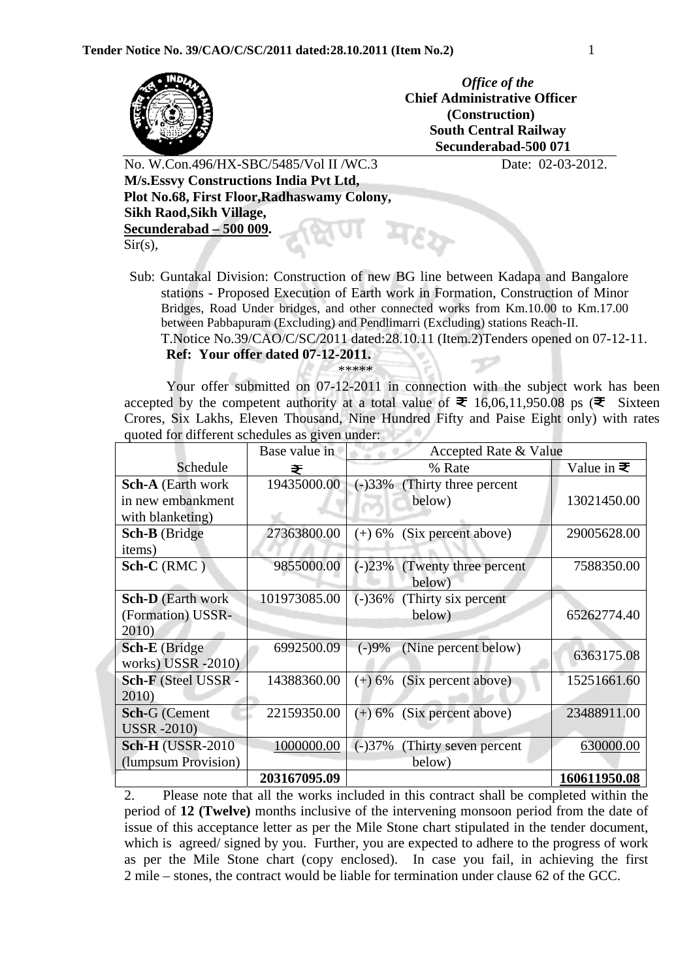

*Office of the*  **Chief Administrative Officer (Construction) South Central Railway Secunderabad-500 071**

No. W.Con.496/HX-SBC/5485/Vol II /WC.3 Date: 02-03-2012.  **M/s.Essvy Constructions India Pvt Ltd, Plot No.68, First Floor,Radhaswamy Colony, Sikh Raod,Sikh Village, Secunderabad – 500 009.**   $Sir(s),$ 

Sub: Guntakal Division: Construction of new BG line between Kadapa and Bangalore stations - Proposed Execution of Earth work in Formation, Construction of Minor Bridges, Road Under bridges, and other connected works from Km.10.00 to Km.17.00 between Pabbapuram (Excluding) and Pendlimarri (Excluding) stations Reach-II.

 T.Notice No.39/CAO/C/SC/2011 dated:28.10.11 (Item.2)Tenders opened on 07-12-11.  **Ref: Your offer dated 07-12-2011.** 

## \*\*\*\*\*

Your offer submitted on 07-12-2011 in connection with the subject work has been accepted by the competent authority at a total value of  $\bar{\Xi}$  16,06,11,950.08 ps ( $\bar{\Xi}$  Sixteen Crores, Six Lakhs, Eleven Thousand, Nine Hundred Fifty and Paise Eight only) with rates quoted for different schedules as given under:

|                          | Base value in | Accepted Rate & Value              |                           |
|--------------------------|---------------|------------------------------------|---------------------------|
| Schedule                 | ₹             | % Rate                             | Value in $\bar{\bm{\xi}}$ |
| <b>Sch-A</b> (Earth work | 19435000.00   | (-)33% (Thirty three percent       |                           |
| in new embankment        |               | below)                             | 13021450.00               |
| with blanketing)         |               |                                    |                           |
| Sch-B (Bridge            | 27363800.00   | (Six percent above)<br>$(+) 6\%$   | 29005628.00               |
| items)                   |               |                                    |                           |
| $Sch-C(RMC)$             | 9855000.00    | $(-)23%$<br>(Twenty three percent) | 7588350.00                |
|                          |               | below)                             |                           |
| <b>Sch-D</b> (Earth work | 101973085.00  | $(-)36%$<br>(Thirty six percent)   |                           |
| (Formation) USSR-        |               | below)                             | 65262774.40               |
| 2010)                    |               |                                    |                           |
| <b>Sch-E</b> (Bridge)    | 6992500.09    | (Nine percent below)<br>$(-)9%$    | 6363175.08                |
| works) USSR -2010)       |               |                                    |                           |
| Sch-F (Steel USSR -      | 14388360.00   | (Six percent above)<br>$(+) 6\%$   | 15251661.60               |
| 2010)                    |               |                                    |                           |
| <b>Sch-G</b> (Cement     | 22159350.00   | (Six percent above)<br>$(+) 6\%$   | 23488911.00               |
| <b>USSR</b> -2010)       |               |                                    |                           |
| <b>Sch-H (USSR-2010)</b> | 1000000.00    | $(-)37%$<br>(Thirty seven percent) | 630000.00                 |
| (lumpsum Provision)      |               | below)                             |                           |
|                          | 203167095.09  |                                    | 160611950.08              |

2. Please note that all the works included in this contract shall be completed within the period of **12 (Twelve)** months inclusive of the intervening monsoon period from the date of issue of this acceptance letter as per the Mile Stone chart stipulated in the tender document, which is agreed/ signed by you. Further, you are expected to adhere to the progress of work as per the Mile Stone chart (copy enclosed). In case you fail, in achieving the first 2 mile – stones, the contract would be liable for termination under clause 62 of the GCC.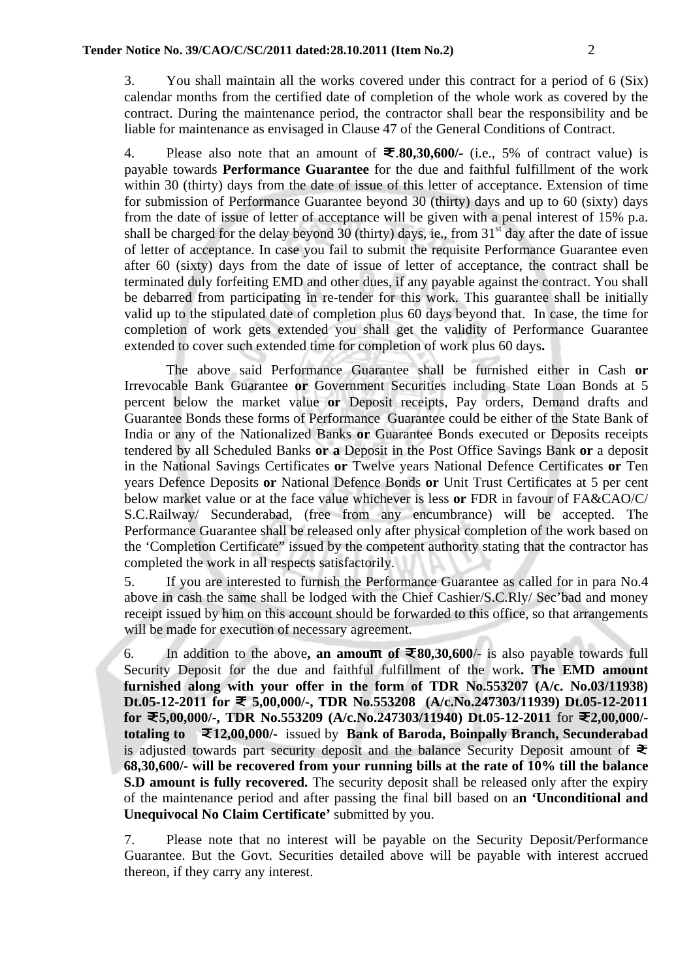3. You shall maintain all the works covered under this contract for a period of 6 (Six) calendar months from the certified date of completion of the whole work as covered by the contract. During the maintenance period, the contractor shall bear the responsibility and be liable for maintenance as envisaged in Clause 47 of the General Conditions of Contract.

4. Please also note that an amount of  $\bar{\mathbf{z}}$ . **80,30,600**/- (i.e., 5% of contract value) is payable towards **Performance Guarantee** for the due and faithful fulfillment of the work within 30 (thirty) days from the date of issue of this letter of acceptance. Extension of time for submission of Performance Guarantee beyond 30 (thirty) days and up to 60 (sixty) days from the date of issue of letter of acceptance will be given with a penal interest of 15% p.a. shall be charged for the delay beyond 30 (thirty) days, ie., from  $31<sup>st</sup>$  day after the date of issue of letter of acceptance. In case you fail to submit the requisite Performance Guarantee even after 60 (sixty) days from the date of issue of letter of acceptance, the contract shall be terminated duly forfeiting EMD and other dues, if any payable against the contract. You shall be debarred from participating in re-tender for this work. This guarantee shall be initially valid up to the stipulated date of completion plus 60 days beyond that. In case, the time for completion of work gets extended you shall get the validity of Performance Guarantee extended to cover such extended time for completion of work plus 60 days**.**

The above said Performance Guarantee shall be furnished either in Cash **or** Irrevocable Bank Guarantee **or** Government Securities including State Loan Bonds at 5 percent below the market value **or** Deposit receipts, Pay orders, Demand drafts and Guarantee Bonds these forms of Performance Guarantee could be either of the State Bank of India or any of the Nationalized Banks **or** Guarantee Bonds executed or Deposits receipts tendered by all Scheduled Banks **or a** Deposit in the Post Office Savings Bank **or** a deposit in the National Savings Certificates **or** Twelve years National Defence Certificates **or** Ten years Defence Deposits **or** National Defence Bonds **or** Unit Trust Certificates at 5 per cent below market value or at the face value whichever is less **or** FDR in favour of FA&CAO/C/ S.C.Railway/ Secunderabad, (free from any encumbrance) will be accepted. The Performance Guarantee shall be released only after physical completion of the work based on the 'Completion Certificate" issued by the competent authority stating that the contractor has completed the work in all respects satisfactorily.

5. If you are interested to furnish the Performance Guarantee as called for in para No.4 above in cash the same shall be lodged with the Chief Cashier/S.C.Rly/ Sec'bad and money receipt issued by him on this account should be forwarded to this office, so that arrangements will be made for execution of necessary agreement.

6. In addition to the above, an amount of  $\Xi$ 80,30,600/- is also payable towards full Security Deposit for the due and faithful fulfillment of the work**. The EMD amount furnished along with your offer in the form of TDR No.553207 (A/c. No.03/11938) Dt.05-12-2011 for 5,00,000/-, TDR No.553208 (A/c.No.247303/11939) Dt.05-12-2011 for 5,00,000/-, TDR No.553209 (A/c.No.247303/11940) Dt.05-12-2011** for **2,00,000/ totaling to 12,00,000/-** issued by **Bank of Baroda, Boinpally Branch, Secunderabad** is adjusted towards part security deposit and the balance Security Deposit amount of  $\bar{\Xi}$ **68,30,600/- will be recovered from your running bills at the rate of 10% till the balance S.D amount is fully recovered.** The security deposit shall be released only after the expiry of the maintenance period and after passing the final bill based on a**n 'Unconditional and Unequivocal No Claim Certificate'** submitted by you.

7. Please note that no interest will be payable on the Security Deposit/Performance Guarantee. But the Govt. Securities detailed above will be payable with interest accrued thereon, if they carry any interest.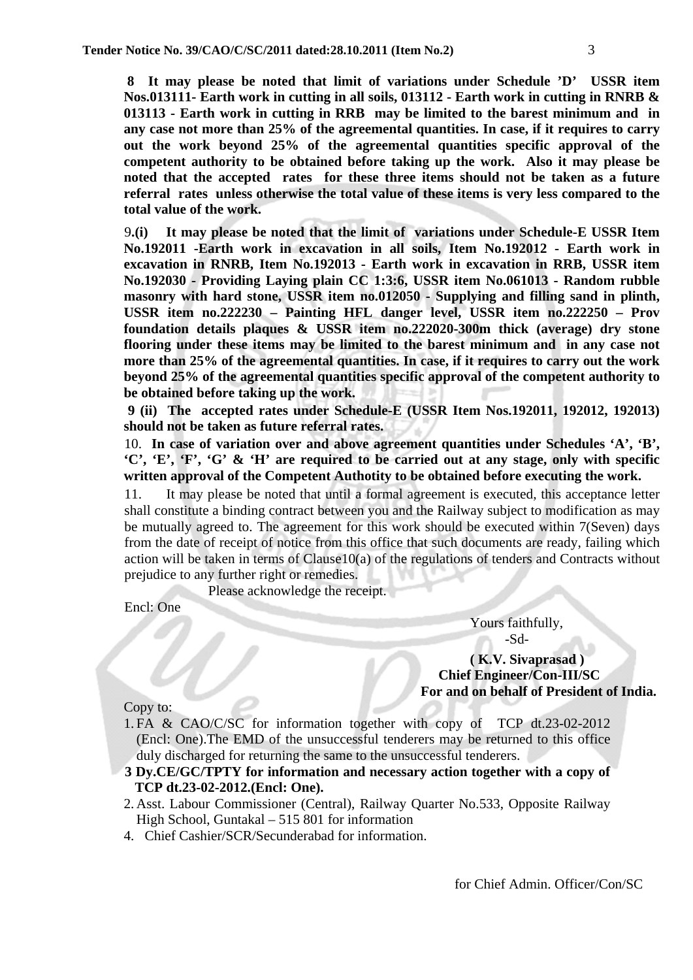**8 It may please be noted that limit of variations under Schedule 'D' USSR item Nos.013111- Earth work in cutting in all soils, 013112 - Earth work in cutting in RNRB & 013113 - Earth work in cutting in RRB may be limited to the barest minimum and in any case not more than 25% of the agreemental quantities. In case, if it requires to carry out the work beyond 25% of the agreemental quantities specific approval of the competent authority to be obtained before taking up the work. Also it may please be noted that the accepted rates for these three items should not be taken as a future referral rates unless otherwise the total value of these items is very less compared to the total value of the work.** 

9**.(i) It may please be noted that the limit of variations under Schedule-E USSR Item No.192011 -Earth work in excavation in all soils, Item No.192012 - Earth work in excavation in RNRB, Item No.192013 - Earth work in excavation in RRB, USSR item No.192030 - Providing Laying plain CC 1:3:6, USSR item No.061013 - Random rubble masonry with hard stone, USSR item no.012050 - Supplying and filling sand in plinth, USSR item no.222230 – Painting HFL danger level, USSR item no.222250 – Prov foundation details plaques & USSR item no.222020-300m thick (average) dry stone flooring under these items may be limited to the barest minimum and in any case not more than 25% of the agreemental quantities. In case, if it requires to carry out the work beyond 25% of the agreemental quantities specific approval of the competent authority to be obtained before taking up the work.**

 **9 (ii) The accepted rates under Schedule-E (USSR Item Nos.192011, 192012, 192013) should not be taken as future referral rates.** 

10. **In case of variation over and above agreement quantities under Schedules 'A', 'B', 'C', 'E', 'F', 'G' & 'H' are required to be carried out at any stage, only with specific written approval of the Competent Authotity to be obtained before executing the work.**

11. It may please be noted that until a formal agreement is executed, this acceptance letter shall constitute a binding contract between you and the Railway subject to modification as may be mutually agreed to. The agreement for this work should be executed within 7(Seven) days from the date of receipt of notice from this office that such documents are ready, failing which action will be taken in terms of Clause10(a) of the regulations of tenders and Contracts without prejudice to any further right or remedies.

Please acknowledge the receipt.

Encl: One

 Yours faithfully, -Sd-

 **( K.V. Sivaprasad ) Chief Engineer/Con-III/SC For and on behalf of President of India.** 

Copy to:

- 1. FA & CAO/C/SC for information together with copy of TCP dt.23-02-2012 (Encl: One).The EMD of the unsuccessful tenderers may be returned to this office duly discharged for returning the same to the unsuccessful tenderers.
- **3 Dy.CE/GC/TPTY for information and necessary action together with a copy of TCP dt.23-02-2012.(Encl: One).**
- 2. Asst. Labour Commissioner (Central), Railway Quarter No.533, Opposite Railway High School, Guntakal – 515 801 for information
- 4. Chief Cashier/SCR/Secunderabad for information.